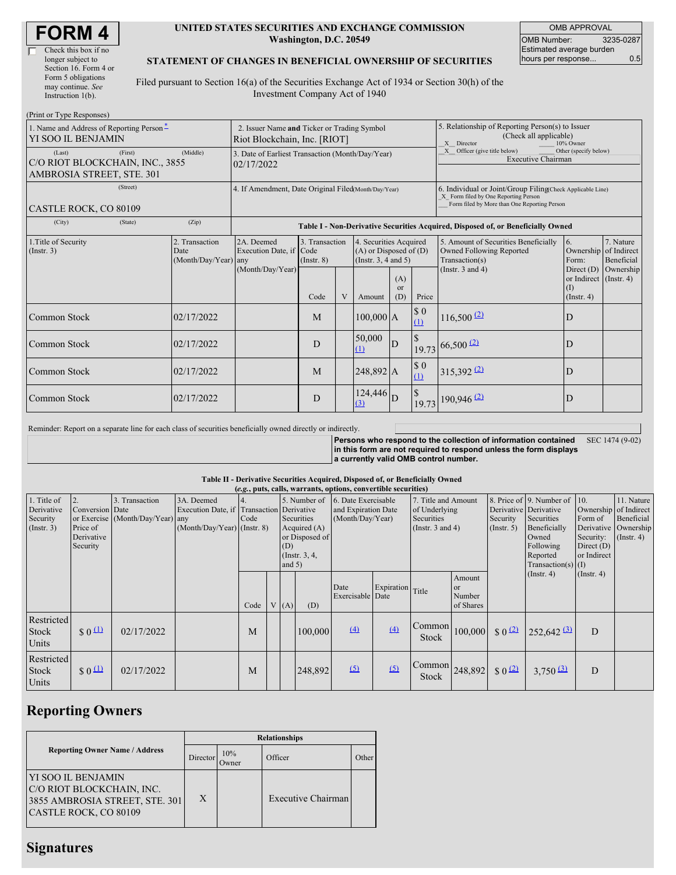| <b>FORM4</b> |
|--------------|
|--------------|

#### **UNITED STATES SECURITIES AND EXCHANGE COMMISSION Washington, D.C. 20549**

OMB APPROVAL OMB Number: 3235-0287 Estimated average burden hours per response... 0.5

#### **STATEMENT OF CHANGES IN BENEFICIAL OWNERSHIP OF SECURITIES**

Filed pursuant to Section 16(a) of the Securities Exchange Act of 1934 or Section 30(h) of the Investment Company Act of 1940

| (Print or Type Responses)                                                         |                                                                             |                                                                                  |                                   |   |                                                                                  |                                                                                                       |                                                                                                                                                    |                                                                                    |                                                            |                         |
|-----------------------------------------------------------------------------------|-----------------------------------------------------------------------------|----------------------------------------------------------------------------------|-----------------------------------|---|----------------------------------------------------------------------------------|-------------------------------------------------------------------------------------------------------|----------------------------------------------------------------------------------------------------------------------------------------------------|------------------------------------------------------------------------------------|------------------------------------------------------------|-------------------------|
| 1. Name and Address of Reporting Person*<br>YI SOO IL BENJAMIN                    | 2. Issuer Name and Ticker or Trading Symbol<br>Riot Blockchain, Inc. [RIOT] |                                                                                  |                                   |   |                                                                                  | 5. Relationship of Reporting Person(s) to Issuer<br>(Check all applicable)<br>X Director<br>10% Owner |                                                                                                                                                    |                                                                                    |                                                            |                         |
| (First)<br>(Last)<br>C/O RIOT BLOCKCHAIN, INC., 3855<br>AMBROSIA STREET, STE. 301 | 3. Date of Earliest Transaction (Month/Day/Year)<br>02/17/2022              |                                                                                  |                                   |   |                                                                                  | X Officer (give title below)<br>Other (specify below)<br><b>Executive Chairman</b>                    |                                                                                                                                                    |                                                                                    |                                                            |                         |
| (Street)<br>CASTLE ROCK, CO 80109                                                 | 4. If Amendment, Date Original Filed Month/Day/Year)                        |                                                                                  |                                   |   |                                                                                  |                                                                                                       | 6. Individual or Joint/Group Filing(Check Applicable Line)<br>X Form filed by One Reporting Person<br>Form filed by More than One Reporting Person |                                                                                    |                                                            |                         |
| (City)<br>(State)                                                                 | (Zip)                                                                       | Table I - Non-Derivative Securities Acquired, Disposed of, or Beneficially Owned |                                   |   |                                                                                  |                                                                                                       |                                                                                                                                                    |                                                                                    |                                                            |                         |
| 1. Title of Security<br>$($ Instr. 3 $)$                                          | 2. Transaction<br>Date<br>(Month/Day/Year) any                              | 2A. Deemed<br>Execution Date, if Code                                            | 3. Transaction<br>$($ Instr. $8)$ |   | 4. Securities Acquired<br>$(A)$ or Disposed of $(D)$<br>(Instr. $3, 4$ and $5$ ) |                                                                                                       |                                                                                                                                                    | 5. Amount of Securities Beneficially<br>Owned Following Reported<br>Transaction(s) | 6.<br>Ownership of Indirect<br>Form:                       | 7. Nature<br>Beneficial |
|                                                                                   |                                                                             | (Month/Day/Year)                                                                 | Code                              | V | Amount                                                                           | (A)<br><sub>or</sub><br>(D)                                                                           | Price                                                                                                                                              | (Instr. $3$ and $4$ )                                                              | Direct (D)<br>or Indirect (Instr. 4)<br>(I)<br>(Insert, 4) | Ownership               |
| Common Stock                                                                      | 02/17/2022                                                                  |                                                                                  | M                                 |   | $100,000$ A                                                                      |                                                                                                       | $\$$ 0<br>(1)                                                                                                                                      | $116,500$ <sup>(2)</sup>                                                           | D                                                          |                         |
| <b>Common Stock</b>                                                               | 02/17/2022                                                                  |                                                                                  | D                                 |   | 50,000<br>(1)                                                                    | D                                                                                                     | <sup>\$</sup>                                                                                                                                      | $19.73\,$ 66,500 (2)                                                               | $\mathbf D$                                                |                         |
| Common Stock                                                                      | 02/17/2022                                                                  |                                                                                  | M                                 |   | 248,892 A                                                                        |                                                                                                       | \$0<br>(1)                                                                                                                                         | $315,392$ <sup>(2)</sup>                                                           | D                                                          |                         |
| Common Stock                                                                      | 02/17/2022                                                                  |                                                                                  | D                                 |   | $124,446$ D<br>(3)                                                               |                                                                                                       | 19.73                                                                                                                                              | $190,946$ <sup>(2)</sup>                                                           | D                                                          |                         |

Reminder: Report on a separate line for each class of securities beneficially owned directly or indirectly.

**Persons who respond to the collection of information contained in this form are not required to respond unless the form displays a currently valid OMB control number.** SEC 1474 (9-02)

#### **Table II - Derivative Securities Acquired, Disposed of, or Beneficially Owned**

|                                                           | (e.g., puts, calls, warrants, options, convertible securities) |                                                    |                                                                                          |      |                                                                                       |     |                                                                             |                          |                                                                             |                                                                   |                                                        |                                                                                                                      |                                                                              |                                                                   |  |
|-----------------------------------------------------------|----------------------------------------------------------------|----------------------------------------------------|------------------------------------------------------------------------------------------|------|---------------------------------------------------------------------------------------|-----|-----------------------------------------------------------------------------|--------------------------|-----------------------------------------------------------------------------|-------------------------------------------------------------------|--------------------------------------------------------|----------------------------------------------------------------------------------------------------------------------|------------------------------------------------------------------------------|-------------------------------------------------------------------|--|
| 1. Title of<br>Derivative<br>Security<br>$($ Instr. 3 $)$ | 2.<br>Conversion Date<br>Price of<br>Derivative<br>Security    | 3. Transaction<br>or Exercise (Month/Day/Year) any | 3A. Deemed<br>Execution Date, if Transaction Derivative<br>$(Month/Day/Year)$ (Instr. 8) | Code | Securities<br>Acquired $(A)$<br>or Disposed of<br>(D)<br>$($ Instr. 3, 4,<br>and $5)$ |     | 5. Number of 6. Date Exercisable<br>and Expiration Date<br>(Month/Day/Year) |                          | 7. Title and Amount<br>of Underlying<br>Securities<br>(Instr. $3$ and $4$ ) |                                                                   | Derivative Derivative<br>Security<br>(Insert. 5)       | 8. Price of 9. Number of 10.<br>Securities<br>Beneficially<br>Owned<br>Following<br>Reported<br>Transaction(s) $(I)$ | Ownership of Indirect<br>Form of<br>Security:<br>Direct $(D)$<br>or Indirect | 11. Nature<br>Beneficial<br>Derivative Ownership<br>$($ Instr. 4) |  |
|                                                           |                                                                |                                                    |                                                                                          | Code |                                                                                       | (A) | (D)                                                                         | Date<br>Exercisable Date | Expiration                                                                  | Title                                                             | Amount<br>$\alpha$ <sup>r</sup><br>Number<br>of Shares |                                                                                                                      | $($ Instr. 4 $)$                                                             | $($ Instr. 4 $)$                                                  |  |
| Restricted<br><b>Stock</b><br>Units                       | $\frac{1}{2}$ 0 $\frac{11}{2}$                                 | 02/17/2022                                         |                                                                                          | M    |                                                                                       |     | 100,000                                                                     | (4)                      | (4)                                                                         | Common<br>Stock                                                   |                                                        | $100,000$ \$ $0^{(2)}$                                                                                               | $252,642$ <sup>(3)</sup>                                                     | D                                                                 |  |
| Restricted<br>Stock<br><b>Units</b>                       | $\frac{1}{2}0$                                                 | 02/17/2022                                         |                                                                                          | M    |                                                                                       |     | 248,892                                                                     | (5)                      | $\sqrt{2}$                                                                  | $\begin{array}{c c} \text{Common} & 248,892 \end{array}$<br>Stock |                                                        | $\frac{1}{2}$ 0 (2)                                                                                                  | $3,750$ (3)                                                                  | D                                                                 |  |

## **Reporting Owners**

|                                                                                                             | <b>Relationships</b> |                      |                           |       |  |  |  |  |
|-------------------------------------------------------------------------------------------------------------|----------------------|----------------------|---------------------------|-------|--|--|--|--|
| <b>Reporting Owner Name / Address</b>                                                                       | Director             | 10%<br><b>J</b> wner | Officer                   | Other |  |  |  |  |
| IYI SOO IL BENJAMIN<br>C/O RIOT BLOCKCHAIN, INC.<br>3855 AMBROSIA STREET, STE. 301<br>CASTLE ROCK, CO 80109 | X                    |                      | <b>Executive Chairman</b> |       |  |  |  |  |

# **Signatures**